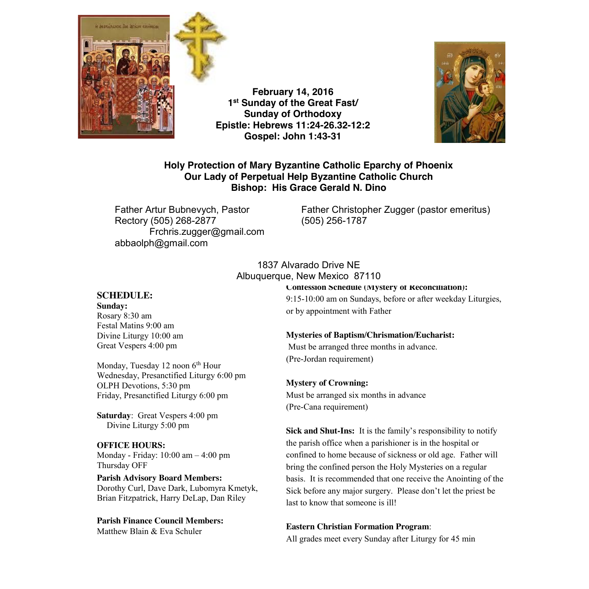

**February 14, 2016 1st Sunday of the Great Fast/ Sunday of Orthodoxy Epistle: Hebrews 11:24-26.32-12:2 Gospel: John 1:43-31**



## **Holy Protection of Mary Byzantine Catholic Eparchy of Phoenix Our Lady of Perpetual Help Byzantine Catholic Church Bishop: His Grace Gerald N. Dino**

Rectory (505) 268-2877 (505) 256-1787 Frchris.zugger@gmail.com abbaolph@gmail.com

Father Artur Bubnevych, Pastor Father Christopher Zugger (pastor emeritus)

## 1837 Alvarado Drive NE Albuquerque, New Mexico 87110

### **SCHEDULE:**

**Sunday:** Rosary 8:30 am Festal Matins 9:00 am Divine Liturgy 10:00 am Great Vespers 4:00 pm

Monday, Tuesday 12 noon 6<sup>th</sup> Hour Wednesday, Presanctified Liturgy 6:00 pm OLPH Devotions, 5:30 pm Friday, Presanctified Liturgy 6:00 pm

**Saturday**: Great Vespers 4:00 pm Divine Liturgy 5:00 pm

### **OFFICE HOURS:**

Monday - Friday: 10:00 am – 4:00 pm Thursday OFF

**Parish Advisory Board Members:** Dorothy Curl, Dave Dark, Lubomyra Kmetyk, Brian Fitzpatrick, Harry DeLap, Dan Riley

**Parish Finance Council Members:** Matthew Blain & Eva Schuler

**Confession Schedule (Mystery of Reconciliation):** 

9:15-10:00 am on Sundays, before or after weekday Liturgies, or by appointment with Father

#### **Mysteries of Baptism/Chrismation/Eucharist:**

Must be arranged three months in advance. (Pre-Jordan requirement)

#### **Mystery of Crowning:**

Must be arranged six months in advance (Pre-Cana requirement)

**Sick and Shut-Ins:** It is the family's responsibility to notify the parish office when a parishioner is in the hospital or confined to home because of sickness or old age. Father will bring the confined person the Holy Mysteries on a regular basis. It is recommended that one receive the Anointing of the Sick before any major surgery. Please don't let the priest be last to know that someone is ill!

#### **Eastern Christian Formation Program**:

All grades meet every Sunday after Liturgy for 45 min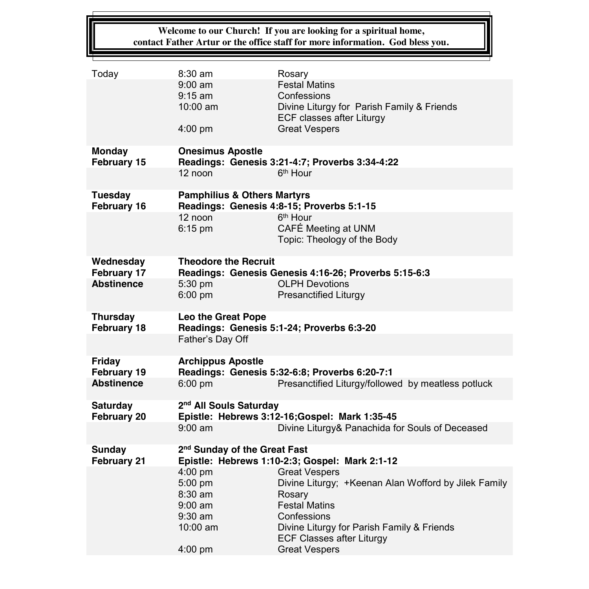## **Welcome to our Church! If you are looking for a spiritual home, contact Father Artur or the office staff for more information. God bless you.**

| Today                          | $8:30$ am                                                     | Rosary                                                                         |  |
|--------------------------------|---------------------------------------------------------------|--------------------------------------------------------------------------------|--|
|                                | $9:00 \text{ am}$                                             | <b>Festal Matins</b>                                                           |  |
|                                | $9:15$ am                                                     | Confessions                                                                    |  |
|                                | $10:00$ am                                                    | Divine Liturgy for Parish Family & Friends                                     |  |
|                                |                                                               | ECF classes after Liturgy                                                      |  |
|                                | 4:00 pm                                                       | <b>Great Vespers</b>                                                           |  |
| <b>Monday</b>                  | <b>Onesimus Apostle</b>                                       |                                                                                |  |
| February 15                    |                                                               | Readings: Genesis 3:21-4:7; Proverbs 3:34-4:22                                 |  |
|                                | 12 noon                                                       | 6 <sup>th</sup> Hour                                                           |  |
| <b>Tuesday</b>                 | <b>Pamphilius &amp; Others Martyrs</b>                        |                                                                                |  |
| <b>February 16</b>             | Readings: Genesis 4:8-15; Proverbs 5:1-15                     |                                                                                |  |
|                                | 12 noon                                                       | 6 <sup>th</sup> Hour                                                           |  |
|                                | $6:15$ pm                                                     | CAFÉ Meeting at UNM                                                            |  |
|                                |                                                               | Topic: Theology of the Body                                                    |  |
|                                |                                                               |                                                                                |  |
| Wednesday                      | <b>Theodore the Recruit</b>                                   |                                                                                |  |
| February 17                    | Readings: Genesis Genesis 4:16-26; Proverbs 5:15-6:3          |                                                                                |  |
| <b>Abstinence</b>              | 5:30 pm                                                       | <b>OLPH Devotions</b>                                                          |  |
|                                | 6:00 pm                                                       | <b>Presanctified Liturgy</b>                                                   |  |
|                                |                                                               |                                                                                |  |
| <b>Thursday</b><br>February 18 | <b>Leo the Great Pope</b>                                     |                                                                                |  |
|                                | Readings: Genesis 5:1-24; Proverbs 6:3-20<br>Father's Day Off |                                                                                |  |
|                                |                                                               |                                                                                |  |
| <b>Friday</b>                  | <b>Archippus Apostle</b>                                      |                                                                                |  |
| February 19                    | Readings: Genesis 5:32-6:8; Proverbs 6:20-7:1                 |                                                                                |  |
| <b>Abstinence</b>              | $6:00$ pm                                                     | Presanctified Liturgy/followed by meatless potluck                             |  |
| <b>Saturday</b>                | 2 <sup>nd</sup> All Souls Saturday                            |                                                                                |  |
| February 20                    | Epistle: Hebrews 3:12-16;Gospel: Mark 1:35-45                 |                                                                                |  |
|                                | $9:00$ am                                                     | Divine Liturgy& Panachida for Souls of Deceased                                |  |
| <b>Sunday</b>                  | 2 <sup>nd</sup> Sunday of the Great Fast                      |                                                                                |  |
| February 21                    |                                                               | Epistle: Hebrews 1:10-2:3; Gospel: Mark 2:1-12                                 |  |
|                                | 4:00 pm                                                       | <b>Great Vespers</b>                                                           |  |
|                                | 5:00 pm                                                       | Divine Liturgy; +Keenan Alan Wofford by Jilek Family                           |  |
|                                | 8:30 am                                                       | Rosary                                                                         |  |
|                                | $9:00$ am                                                     | <b>Festal Matins</b>                                                           |  |
|                                | $9:30$ am                                                     | Confessions                                                                    |  |
|                                | $10:00$ am                                                    | Divine Liturgy for Parish Family & Friends<br><b>ECF Classes after Liturgy</b> |  |
|                                | 4:00 pm                                                       | <b>Great Vespers</b>                                                           |  |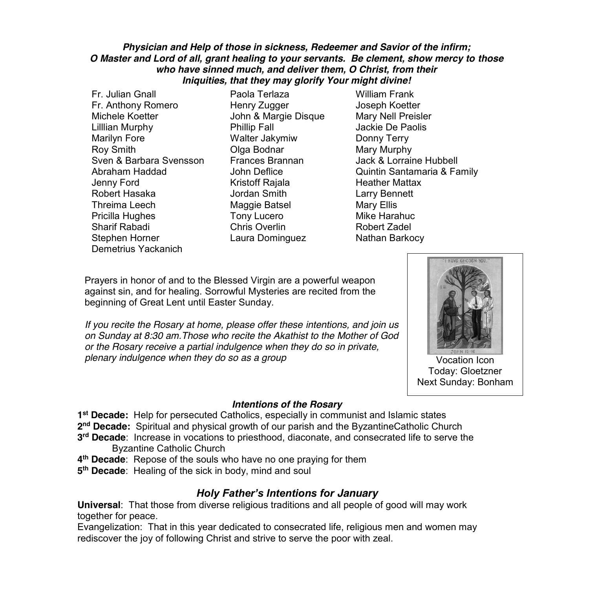### *Physician and Help of those in sickness, Redeemer and Savior of the infirm; O Master and Lord of all, grant healing to your servants. Be clement, show mercy to those who have sinned much, and deliver them, O Christ, from their Iniquities, that they may glorify Your might divine!*

Fr. Julian Gnall Paola Terlaza William Frank Fr. Anthony Romero Henry Zugger Joseph Koetter Michele Koetter John & Margie Disque Mary Nell Preisler Lilllian Murphy Phillip Fall Marilyn Fore **Walter Jakymiw** Donny Terry Roy Smith **Communist Class Bodnar** Mary Murphy Sven & Barbara Svensson Frances Brannan Jack & Lorraine Hubbell Jenny Ford Kristoff Rajala Heather Mattax Robert Hasaka Jordan Smith Larry Bennett Threima Leech Maggie Batsel Mary Ellis Pricilla Hughes Tony Lucero Mike Harahuc Sharif Rabadi Chris Overlin Robert Zadel Stephen Horner Laura Dominguez Nathan Barkocy Demetrius Yackanich

Abraham Haddad John Deflice Quintin Santamaria & Family

Prayers in honor of and to the Blessed Virgin are a powerful weapon against sin, and for healing. Sorrowful Mysteries are recited from the beginning of Great Lent until Easter Sunday.

*If you recite the Rosary at home, please offer these intentions, and join us on Sunday at 8:30 am.Those who recite the Akathist to the Mother of God or the Rosary receive a partial indulgence when they do so in private, plenary indulgence when they do so as a group*



Vocation Icon Today: Gloetzner Next Sunday: Bonham

## *Intentions of the Rosary*

**1st Decade:** Help for persecuted Catholics, especially in communist and Islamic states

- **2nd Decade:** Spiritual and physical growth of our parish and the ByzantineCatholic Church
- **3rd Decade**: Increase in vocations to priesthood, diaconate, and consecrated life to serve the Byzantine Catholic Church
- **4th Decade**: Repose of the souls who have no one praying for them
- **5th Decade**: Healing of the sick in body, mind and soul

## *Holy Father's Intentions for January*

**Universal**: That those from diverse religious traditions and all people of good will may work together for peace.

Evangelization: That in this year dedicated to consecrated life, religious men and women may rediscover the joy of following Christ and strive to serve the poor with zeal.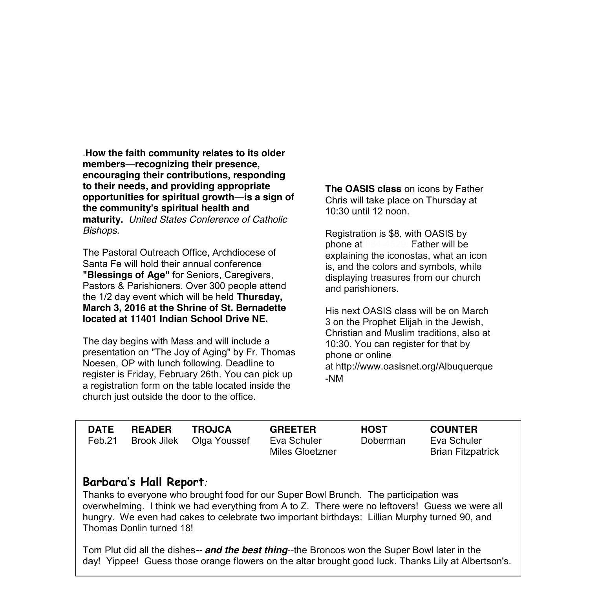.**How the faith community relates to its older members—recognizing their presence, encouraging their contributions, responding to their needs, and providing appropriate opportunities for spiritual growth—is a sign of the community's spiritual health and maturity.** *United States Conference of Catholic Bishops.* 

The Pastoral Outreach Office, Archdiocese of Santa Fe will hold their annual conference **"Blessings of Age"** for Seniors, Caregivers, Pastors & Parishioners. Over 300 people attend the 1/2 day event which will be held **Thursday, March 3, 2016 at the Shrine of St. Bernadette located at 11401 Indian School Drive NE.**

The day begins with Mass and will include a presentation on "The Joy of Aging" by Fr. Thomas Noesen, OP with lunch following. Deadline to register is Friday, February 26th. You can pick up a registration form on the table located inside the church just outside the door to the office.

**The OASIS class** on icons by Father Chris will take place on Thursday at 10:30 until 12 noon.

Registration is \$8, with OASIS by phone at 884-4529. Father will be explaining the iconostas, what an icon is, and the colors and symbols, while displaying treasures from our church and parishioners.

His next OASIS class will be on March 3 on the Prophet Elijah in the Jewish, Christian and Muslim traditions, also at 10:30. You can register for that by phone or online at http://www.oasisnet.org/Albuquerque -NM

| <b>DATE</b> | <b>READER</b> | <b>TROJCA</b>            | <b>GREETER</b>  | <b>HOST</b> | <b>COUNTER</b>           |
|-------------|---------------|--------------------------|-----------------|-------------|--------------------------|
| Feb.21      |               | Brook Jilek Olga Youssef | Eva Schuler     | Doberman    | Eva Schuler              |
|             |               |                          | Miles Gloetzner |             | <b>Brian Fitzpatrick</b> |

## **Barbara's Hall Report***:*

Thanks to everyone who brought food for our Super Bowl Brunch. The participation was overwhelming. I think we had everything from A to Z. There were no leftovers! Guess we were all hungry. We even had cakes to celebrate two important birthdays: Lillian Murphy turned 90, and Thomas Donlin turned 18!

Tom Plut did all the dishes*-- and the best thing*--the Broncos won the Super Bowl later in the day! Yippee! Guess those orange flowers on the altar brought good luck. Thanks Lily at Albertson's.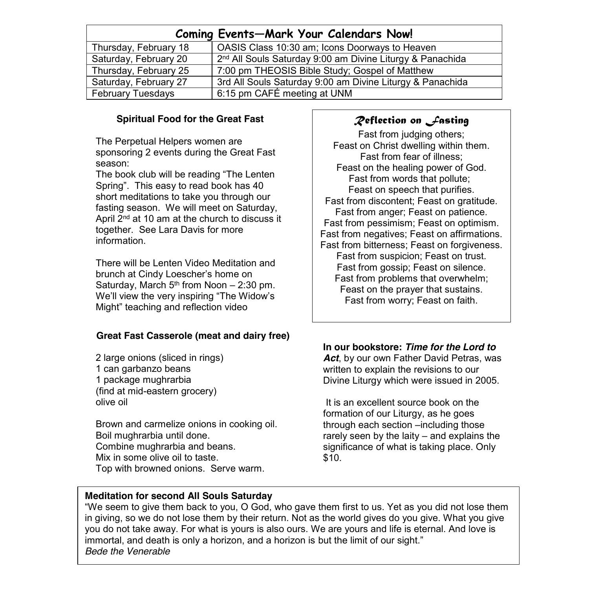| Coming Events-Mark Your Calendars Now! |                                                                       |  |  |  |
|----------------------------------------|-----------------------------------------------------------------------|--|--|--|
| Thursday, February 18                  | OASIS Class 10:30 am; Icons Doorways to Heaven                        |  |  |  |
| Saturday, February 20                  | 2 <sup>nd</sup> All Souls Saturday 9:00 am Divine Liturgy & Panachida |  |  |  |
| Thursday, February 25                  | 7:00 pm THEOSIS Bible Study; Gospel of Matthew                        |  |  |  |
| Saturday, February 27                  | 3rd All Souls Saturday 9:00 am Divine Liturgy & Panachida             |  |  |  |
| February Tuesdays                      | 6:15 pm CAFÉ meeting at UNM                                           |  |  |  |

## **Spiritual Food for the Great Fast**

The Perpetual Helpers women are sponsoring 2 events during the Great Fast season:

The book club will be reading "The Lenten Spring". This easy to read book has 40 short meditations to take you through our fasting season. We will meet on Saturday, April 2<sup>nd</sup> at 10 am at the church to discuss it together. See Lara Davis for more information.

There will be Lenten Video Meditation and brunch at Cindy Loescher's home on Saturday, March  $5<sup>th</sup>$  from Noon  $-2:30$  pm. We'll view the very inspiring "The Widow's Might" teaching and reflection video

## **Great Fast Casserole (meat and dairy free)**

2 large onions (sliced in rings) 1 can garbanzo beans 1 package mughrarbia (find at mid-eastern grocery) olive oil

Brown and carmelize onions in cooking oil. Boil mughrarbia until done. Combine mughrarbia and beans. Mix in some olive oil to taste. Top with browned onions. Serve warm.

## *Reflection on Fasting*

Fast from judging others; Feast on Christ dwelling within them. Fast from fear of illness; Feast on the healing power of God. Fast from words that pollute; Feast on speech that purifies. Fast from discontent; Feast on gratitude. Fast from anger; Feast on patience. Fast from pessimism; Feast on optimism. Fast from negatives; Feast on affirmations. Fast from bitterness; Feast on forgiveness. Fast from suspicion; Feast on trust. Fast from gossip; Feast on silence. Fast from problems that overwhelm; Feast on the prayer that sustains. Fast from worry; Feast on faith.

### **In our bookstore:** *Time for the Lord to Act*, by our own Father David Petras, was written to explain the revisions to our Divine Liturgy which were issued in 2005.

It is an excellent source book on the formation of our Liturgy, as he goes through each section –including those rarely seen by the laity – and explains the significance of what is taking place. Only \$10.

## **Meditation for second All Souls Saturday**

"We seem to give them back to you, O God, who gave them first to us. Yet as you did not lose them in giving, so we do not lose them by their return. Not as the world gives do you give. What you give you do not take away. For what is yours is also ours. We are yours and life is eternal. And love is immortal, and death is only a horizon, and a horizon is but the limit of our sight." *Bede the Venerable*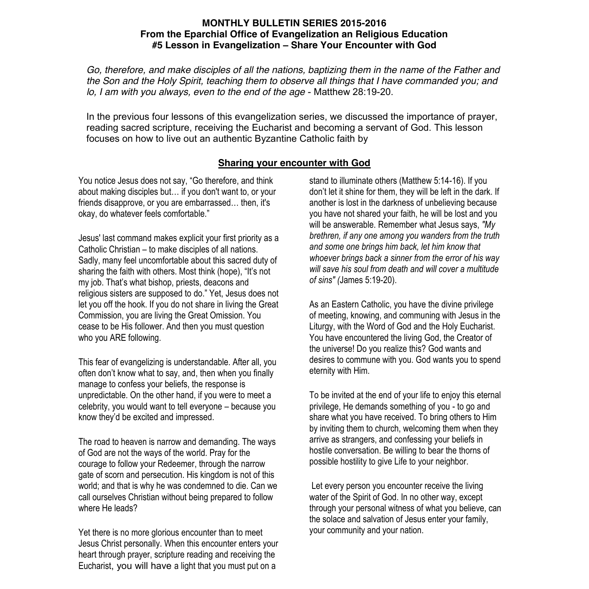### **MONTHLY BULLETIN SERIES 2015-2016 From the Eparchial Office of Evangelization an Religious Education #5 Lesson in Evangelization – Share Your Encounter with God**

*Go, therefore, and make disciples of all the nations, baptizing them in the name of the Father and the Son and the Holy Spirit, teaching them to observe all things that I have commanded you; and lo, I am with you always, even to the end of the age* - Matthew 28:19-20.

In the previous four lessons of this evangelization series, we discussed the importance of prayer, reading sacred scripture, receiving the Eucharist and becoming a servant of God. This lesson focuses on how to live out an authentic Byzantine Catholic faith by

### **Sharing your encounter with God**

You notice Jesus does not say, "Go therefore, and think about making disciples but… if you don't want to, or your friends disapprove, or you are embarrassed… then, it's okay, do whatever feels comfortable."

Jesus' last command makes explicit your first priority as a Catholic Christian – to make disciples of all nations. Sadly, many feel uncomfortable about this sacred duty of sharing the faith with others. Most think (hope), "It's not my job. That's what bishop, priests, deacons and religious sisters are supposed to do." Yet, Jesus does not let you off the hook. If you do not share in living the Great Commission, you are living the Great Omission. You cease to be His follower. And then you must question who you ARE following.

This fear of evangelizing is understandable. After all, you often don't know what to say, and, then when you finally manage to confess your beliefs, the response is unpredictable. On the other hand, if you were to meet a celebrity, you would want to tell everyone – because you know they'd be excited and impressed.

The road to heaven is narrow and demanding. The ways of God are not the ways of the world. Pray for the courage to follow your Redeemer, through the narrow gate of scorn and persecution. His kingdom is not of this world; and that is why he was condemned to die. Can we call ourselves Christian without being prepared to follow where He leads?

Yet there is no more glorious encounter than to meet Jesus Christ personally. When this encounter enters your heart through prayer, scripture reading and receiving the Eucharist, you will have a light that you must put on a

stand to illuminate others (Matthew 5:14-16). If you don't let it shine for them, they will be left in the dark. If another is lost in the darkness of unbelieving because you have not shared your faith, he will be lost and you will be answerable. Remember what Jesus says, *"My brethren, if any one among you wanders from the truth and some one brings him back, let him know that whoever brings back a sinner from the error of his way will save his soul from death and will cover a multitude of sins" (*James 5:19-20).

As an Eastern Catholic, you have the divine privilege of meeting, knowing, and communing with Jesus in the Liturgy, with the Word of God and the Holy Eucharist. You have encountered the living God, the Creator of the universe! Do you realize this? God wants and desires to commune with you. God wants you to spend eternity with Him.

To be invited at the end of your life to enjoy this eternal privilege, He demands something of you - to go and share what you have received. To bring others to Him by inviting them to church, welcoming them when they arrive as strangers, and confessing your beliefs in hostile conversation. Be willing to bear the thorns of possible hostility to give Life to your neighbor.

Let every person you encounter receive the living water of the Spirit of God. In no other way, except through your personal witness of what you believe, can the solace and salvation of Jesus enter your family, your community and your nation.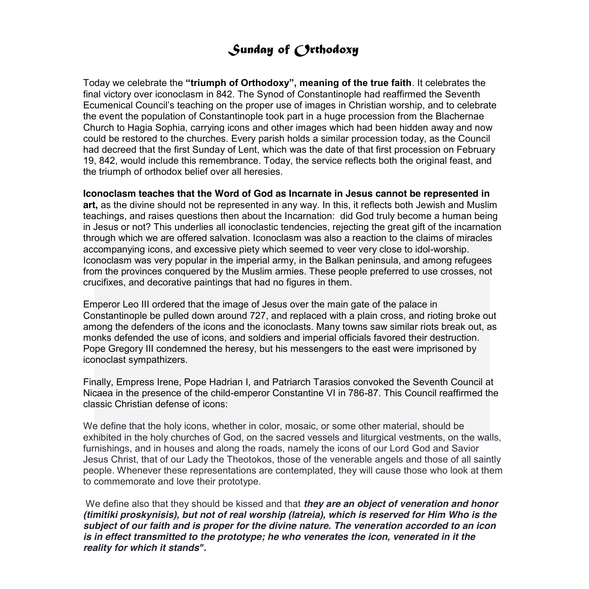# *Sunday of Orthodoxy*

Today we celebrate the **"triumph of Orthodoxy", meaning of the true faith**. It celebrates the final victory over iconoclasm in 842. The Synod of Constantinople had reaffirmed the Seventh Ecumenical Council's teaching on the proper use of images in Christian worship, and to celebrate the event the population of Constantinople took part in a huge procession from the Blachernae Church to Hagia Sophia, carrying icons and other images which had been hidden away and now could be restored to the churches. Every parish holds a similar procession today, as the Council had decreed that the first Sunday of Lent, which was the date of that first procession on February 19, 842, would include this remembrance. Today, the service reflects both the original feast, and the triumph of orthodox belief over all heresies.

 through which we are offered salvation. Iconoclasm was also a reaction to the claims of miracles **Iconoclasm teaches that the Word of God as Incarnate in Jesus cannot be represented in art,** as the divine should not be represented in any way. In this, it reflects both Jewish and Muslim teachings, and raises questions then about the Incarnation: did God truly become a human being in Jesus or not? This underlies all iconoclastic tendencies, rejecting the great gift of the incarnation accompanying icons, and excessive piety which seemed to veer very close to idol-worship. Iconoclasm was very popular in the imperial army, in the Balkan peninsula, and among refugees from the provinces conquered by the Muslim armies. These people preferred to use crosses, not crucifixes, and decorative paintings that had no figures in them.

Emperor Leo III ordered that the image of Jesus over the main gate of the palace in Constantinople be pulled down around 727, and replaced with a plain cross, and rioting broke out among the defenders of the icons and the iconoclasts. Many towns saw similar riots break out, as monks defended the use of icons, and soldiers and imperial officials favored their destruction. Pope Gregory III condemned the heresy, but his messengers to the east were imprisoned by iconoclast sympathizers.

Finally, Empress Irene, Pope Hadrian I, and Patriarch Tarasios convoked the Seventh Council at Nicaea in the presence of the child-emperor Constantine VI in 786-87. This Council reaffirmed the classic Christian defense of icons:

We define that the holy icons, whether in color, mosaic, or some other material, should be exhibited in the holy churches of God, on the sacred vessels and liturgical vestments, on the walls, furnishings, and in houses and along the roads, namely the icons of our Lord God and Savior Jesus Christ, that of our Lady the Theotokos, those of the venerable angels and those of all saintly people. Whenever these representations are contemplated, they will cause those who look at them to commemorate and love their prototype.

We define also that they should be kissed and that *they are an object of veneration and honor (timitiki proskynisis), but not of real worship (latreia), which is reserved for Him Who is the subject of our faith and is proper for the divine nature. The veneration accorded to an icon is in effect transmitted to the prototype; he who venerates the icon, venerated in it the reality for which it stands".*